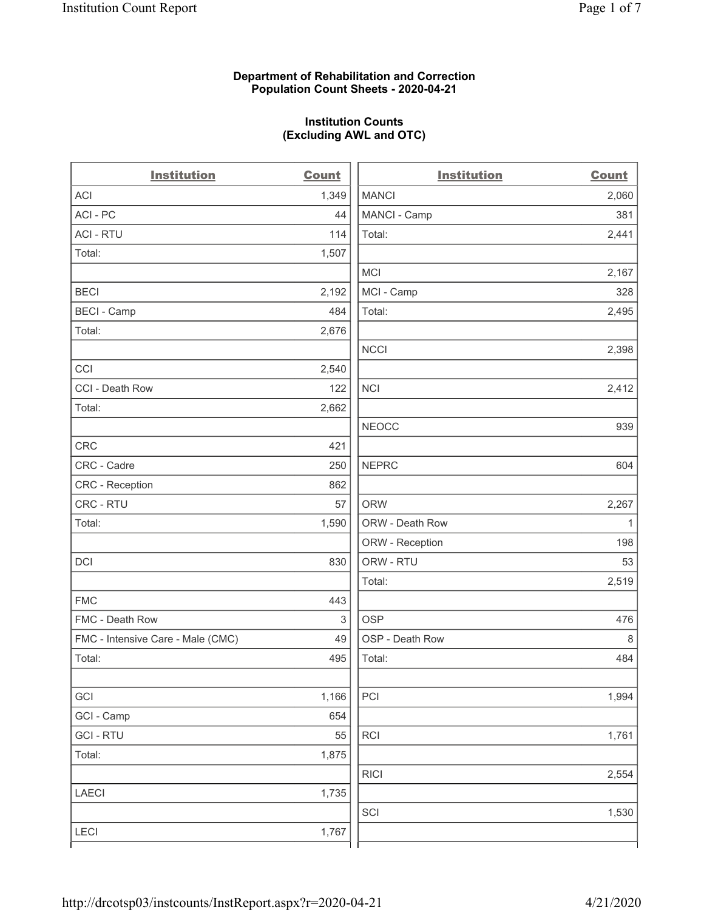### **Department of Rehabilitation and Correction Population Count Sheets - 2020-04-21**

# **Institution Counts (Excluding AWL and OTC)**

 $\overline{a}$ 

| <b>Institution</b>                | Count | <b>Institution</b> | <b>Count</b> |
|-----------------------------------|-------|--------------------|--------------|
| <b>ACI</b>                        | 1,349 | <b>MANCI</b>       | 2,060        |
| ACI-PC                            | 44    | MANCI - Camp       | 381          |
| <b>ACI - RTU</b>                  | 114   | Total:             | 2,441        |
| Total:                            | 1,507 |                    |              |
|                                   |       | <b>MCI</b>         | 2,167        |
| <b>BECI</b>                       | 2,192 | MCI - Camp         | 328          |
| <b>BECI - Camp</b>                | 484   | Total:             | 2,495        |
| Total:                            | 2,676 |                    |              |
|                                   |       | <b>NCCI</b>        | 2,398        |
| CCI                               | 2,540 |                    |              |
| CCI - Death Row                   | 122   | <b>NCI</b>         | 2,412        |
| Total:                            | 2,662 |                    |              |
|                                   |       | <b>NEOCC</b>       | 939          |
| <b>CRC</b>                        | 421   |                    |              |
| CRC - Cadre                       | 250   | <b>NEPRC</b>       | 604          |
| CRC - Reception                   | 862   |                    |              |
| CRC - RTU                         | 57    | <b>ORW</b>         | 2,267        |
| Total:                            | 1,590 | ORW - Death Row    | $\mathbf{1}$ |
|                                   |       | ORW - Reception    | 198          |
| DCI                               | 830   | ORW - RTU          | 53           |
|                                   |       | Total:             | 2,519        |
| <b>FMC</b>                        | 443   |                    |              |
| FMC - Death Row                   | 3     | <b>OSP</b>         | 476          |
| FMC - Intensive Care - Male (CMC) | 49    | OSP - Death Row    | 8            |
| Total:                            | 495   | Total:             | 484          |
|                                   |       |                    |              |
| GCI                               | 1,166 | PCI                | 1,994        |
| GCI - Camp                        | 654   |                    |              |
| <b>GCI-RTU</b>                    | 55    | RCI                | 1,761        |
| Total:                            | 1,875 |                    |              |
|                                   |       | <b>RICI</b>        | 2,554        |
| LAECI                             | 1,735 |                    |              |
|                                   |       | SCI                | 1,530        |
| LECI                              | 1,767 |                    |              |
|                                   |       |                    |              |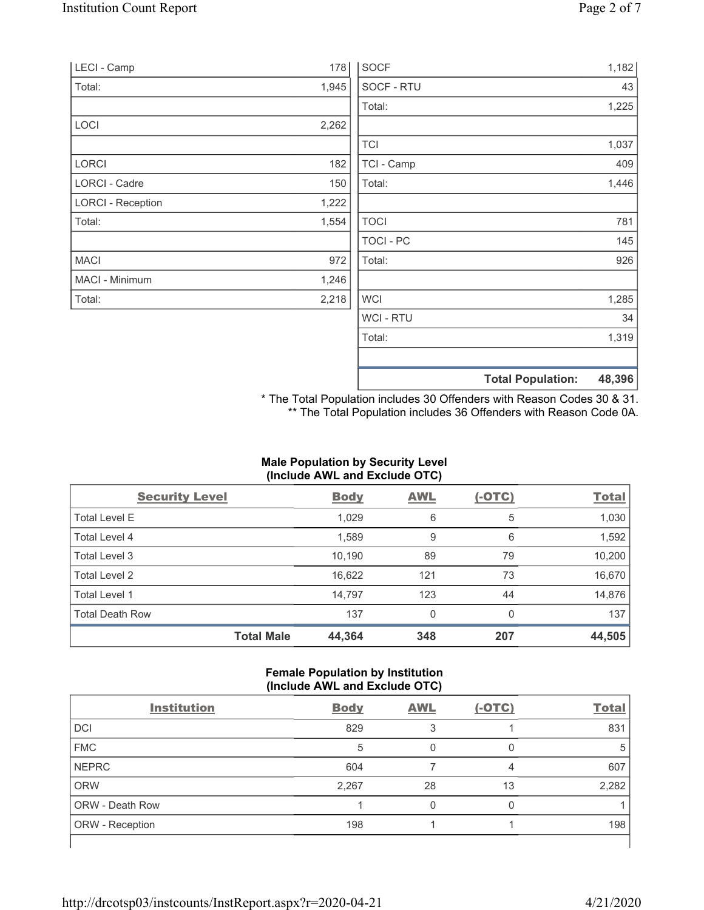| <b>LECI - Camp</b>       | 178   | <b>SOCF</b>      | 1,182                              |
|--------------------------|-------|------------------|------------------------------------|
| Total:                   | 1,945 | SOCF - RTU       | 43                                 |
|                          |       | Total:           | 1,225                              |
| <b>LOCI</b>              | 2,262 |                  |                                    |
|                          |       | <b>TCI</b>       | 1,037                              |
| <b>LORCI</b>             | 182   | TCI - Camp       | 409                                |
| LORCI - Cadre            | 150   | Total:           | 1,446                              |
| <b>LORCI - Reception</b> | 1,222 |                  |                                    |
| Total:                   | 1,554 | <b>TOCI</b>      | 781                                |
|                          |       | TOCI - PC        | 145                                |
| <b>MACI</b>              | 972   | Total:           | 926                                |
| MACI - Minimum           | 1,246 |                  |                                    |
| Total:                   | 2,218 | <b>WCI</b>       | 1,285                              |
|                          |       | <b>WCI - RTU</b> | 34                                 |
|                          |       | Total:           | 1,319                              |
|                          |       |                  | 48,396<br><b>Total Population:</b> |

\* The Total Population includes 30 Offenders with Reason Codes 30 & 31. \*\* The Total Population includes 36 Offenders with Reason Code 0A.

# **Male Population by Security Level (Include AWL and Exclude OTC)**

| <b>Security Level</b>  |                   | <b>Body</b> | <b>AWL</b> | $(-OTC)$ | <b>Total</b> |
|------------------------|-------------------|-------------|------------|----------|--------------|
| <b>Total Level E</b>   |                   | 1,029       | 6          | 5        | 1,030        |
| Total Level 4          |                   | 1,589       | 9          | 6        | 1,592        |
| Total Level 3          |                   | 10,190      | 89         | 79       | 10,200       |
| Total Level 2          |                   | 16,622      | 121        | 73       | 16,670       |
| Total Level 1          |                   | 14,797      | 123        | 44       | 14,876       |
| <b>Total Death Row</b> |                   | 137         | 0          | $\Omega$ | 137          |
|                        | <b>Total Male</b> | 44,364      | 348        | 207      | 44,505       |

## **Female Population by Institution (Include AWL and Exclude OTC)**

| <b>Institution</b>     | <b>Body</b> | <b>AWL</b> | $(-OTC)$ | <b>Total</b> |
|------------------------|-------------|------------|----------|--------------|
| <b>DCI</b>             | 829         |            |          | 831          |
| <b>FMC</b>             | 5           |            |          | 5            |
| <b>NEPRC</b>           | 604         |            |          | 607          |
| <b>ORW</b>             | 2,267       | 28         | 13       | 2,282        |
| ORW - Death Row        |             |            |          |              |
| <b>ORW</b> - Reception | 198         |            |          | 198          |
|                        |             |            |          |              |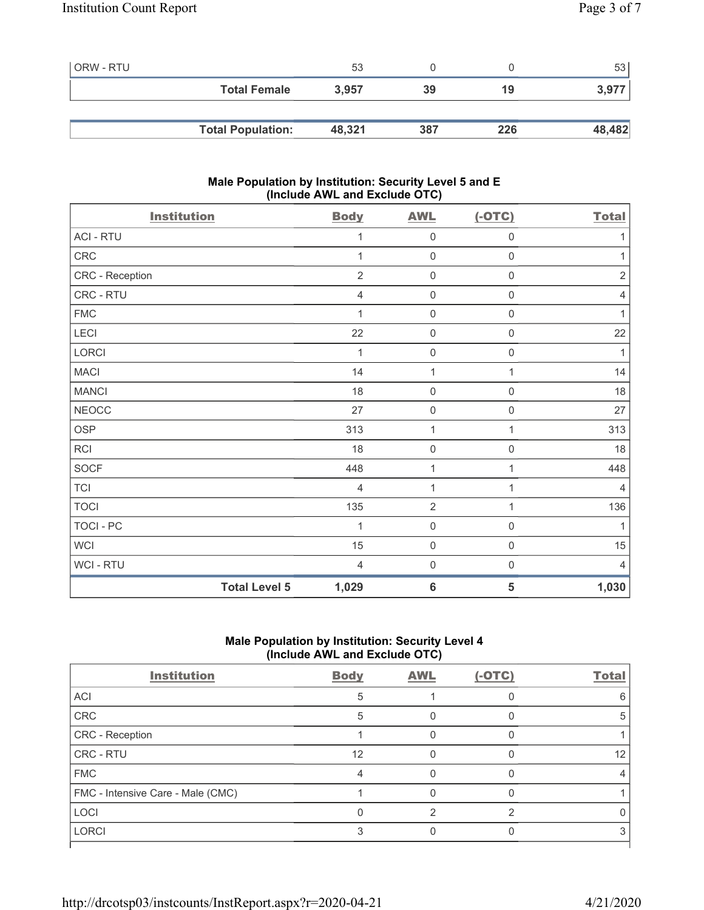| ORW - RTU |                          | 53     |     |     | 53     |
|-----------|--------------------------|--------|-----|-----|--------|
|           | <b>Total Female</b>      | 3,957  | 39  | 19  | 3,977  |
|           |                          |        |     |     |        |
|           | <b>Total Population:</b> | 48,321 | 387 | 226 | 48,482 |

## **Male Population by Institution: Security Level 5 and E (Include AWL and Exclude OTC)**

| <b>Institution</b>   | <b>Body</b>    | <b>AWL</b>          | $(-OTC)$            | <b>Total</b>   |
|----------------------|----------------|---------------------|---------------------|----------------|
| <b>ACI - RTU</b>     | 1              | $\mathsf{O}\xspace$ | $\mathsf{O}\xspace$ | 1              |
| CRC                  | 1              | $\mathsf{O}\xspace$ | $\mathsf{O}\xspace$ | $\mathbf 1$    |
| CRC - Reception      | $\overline{2}$ | $\mathbf 0$         | 0                   | $\sqrt{2}$     |
| CRC - RTU            | $\overline{4}$ | $\mathsf{O}\xspace$ | 0                   | 4              |
| <b>FMC</b>           | 1              | $\mathsf{O}\xspace$ | 0                   | 1              |
| LECI                 | 22             | $\mathbf 0$         | $\mathbf 0$         | 22             |
| LORCI                | 1              | $\mathsf{O}\xspace$ | $\mathsf{O}\xspace$ | 1              |
| <b>MACI</b>          | 14             | $\mathbf{1}$        | 1                   | 14             |
| <b>MANCI</b>         | 18             | $\mathsf{O}\xspace$ | 0                   | 18             |
| <b>NEOCC</b>         | 27             | $\mathsf{O}\xspace$ | 0                   | 27             |
| <b>OSP</b>           | 313            | 1                   | 1                   | 313            |
| RCI                  | 18             | $\mathsf{O}\xspace$ | 0                   | 18             |
| SOCF                 | 448            | $\mathbf{1}$        | 1                   | 448            |
| <b>TCI</b>           | $\overline{4}$ | $\mathbf{1}$        | 1                   | $\overline{4}$ |
| <b>TOCI</b>          | 135            | $\overline{2}$      | $\mathbf{1}$        | 136            |
| TOCI - PC            | 1              | $\mathsf{O}\xspace$ | $\mathsf 0$         | 1              |
| <b>WCI</b>           | 15             | $\mathsf{O}\xspace$ | $\mathbf 0$         | 15             |
| WCI - RTU            | $\overline{4}$ | $\mathsf{O}\xspace$ | $\boldsymbol{0}$    | $\overline{4}$ |
| <b>Total Level 5</b> | 1,029          | $6\phantom{1}6$     | 5                   | 1,030          |

# **Male Population by Institution: Security Level 4 (Include AWL and Exclude OTC)**

| <b>Institution</b>                | <b>Body</b> | <b>AWL</b> | $(-OTC)$ | <b>Total</b> |
|-----------------------------------|-------------|------------|----------|--------------|
| ACI                               | 5           |            |          |              |
| CRC                               | 5           |            |          |              |
| CRC - Reception                   |             |            |          |              |
| CRC - RTU                         | 12          |            |          | 12           |
| <b>FMC</b>                        |             |            |          |              |
| FMC - Intensive Care - Male (CMC) |             |            |          |              |
| <b>LOCI</b>                       |             |            | ⌒        |              |
| <b>LORCI</b>                      |             |            |          |              |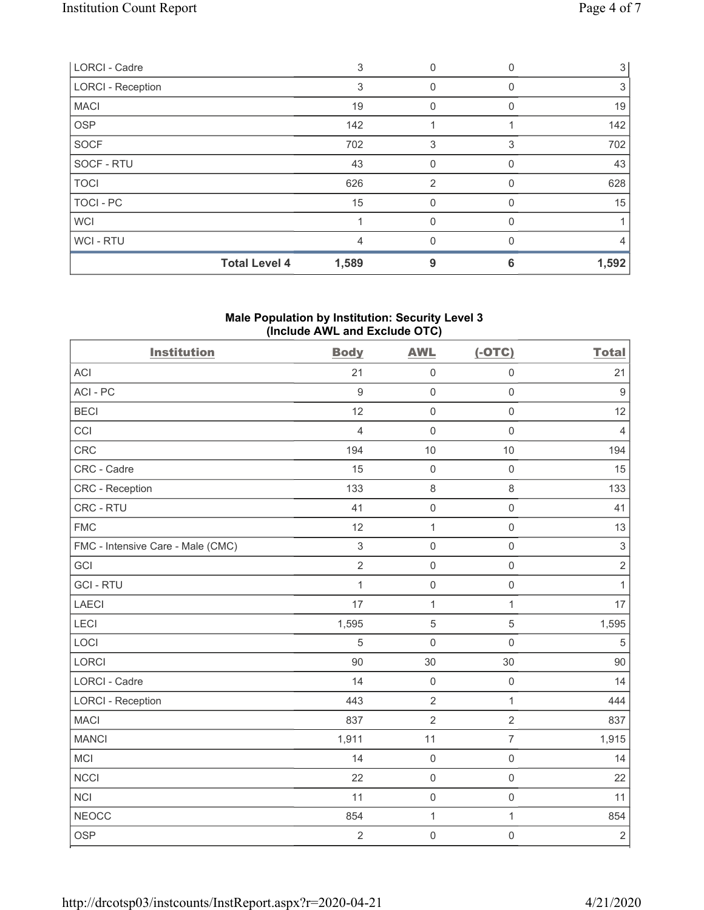| <b>Total Level 4</b>     | 1,589 | 9              | 6 | 1,592 |
|--------------------------|-------|----------------|---|-------|
| WCI - RTU                | 4     |                |   | 4     |
| <b>WCI</b>               |       | 0              |   |       |
| TOCI - PC                | 15    | $\Omega$       | Ω | 15    |
| <b>TOCI</b>              | 626   | $\overline{2}$ |   | 628   |
| SOCF - RTU               | 43    | $\Omega$       | U | 43    |
| <b>SOCF</b>              | 702   | 3              | 3 | 702   |
| <b>OSP</b>               | 142   |                |   | 142   |
| <b>MACI</b>              | 19    | 0              | 0 | 19    |
| <b>LORCI - Reception</b> | 3     | 0              |   | 3     |
| LORCI - Cadre            | 3     | 0              |   | 3     |

## **Male Population by Institution: Security Level 3 (Include AWL and Exclude OTC)**

| <b>Institution</b>                | <b>Body</b>    | <b>AWL</b>          | $(-OTC)$            | <b>Total</b>   |
|-----------------------------------|----------------|---------------------|---------------------|----------------|
| <b>ACI</b>                        | 21             | $\mathbf 0$         | $\mathsf 0$         | 21             |
| ACI-PC                            | $9\,$          | $\mathbf 0$         | $\mathsf 0$         | $9\,$          |
| <b>BECI</b>                       | 12             | $\mathbf 0$         | $\mathsf 0$         | 12             |
| CCI                               | $\overline{4}$ | $\mathbf 0$         | $\mathsf 0$         | $\overline{4}$ |
| CRC                               | 194            | 10                  | 10                  | 194            |
| CRC - Cadre                       | 15             | $\mathbf 0$         | $\mathbf 0$         | 15             |
| CRC - Reception                   | 133            | $\,8\,$             | $\,8\,$             | 133            |
| CRC - RTU                         | 41             | $\mathsf{O}\xspace$ | $\mathsf{O}\xspace$ | 41             |
| <b>FMC</b>                        | 12             | $\mathbf{1}$        | $\mathsf{O}\xspace$ | 13             |
| FMC - Intensive Care - Male (CMC) | $\mathfrak{S}$ | $\mathbf 0$         | $\mathsf{O}\xspace$ | $\sqrt{3}$     |
| GCI                               | $\overline{2}$ | $\mathbf 0$         | $\mathbf 0$         | $\sqrt{2}$     |
| <b>GCI-RTU</b>                    | $\mathbf{1}$   | $\mathbf 0$         | $\mathsf 0$         | $\mathbf{1}$   |
| <b>LAECI</b>                      | 17             | $\mathbf{1}$        | $\mathbf{1}$        | 17             |
| LECI                              | 1,595          | $\sqrt{5}$          | 5                   | 1,595          |
| LOCI                              | 5              | $\mathbf 0$         | $\mathsf{O}\xspace$ | $\overline{5}$ |
| <b>LORCI</b>                      | 90             | 30                  | 30                  | 90             |
| LORCI - Cadre                     | 14             | $\mathbf 0$         | $\mathbf 0$         | 14             |
| <b>LORCI - Reception</b>          | 443            | $\overline{2}$      | $\mathbf{1}$        | 444            |
| <b>MACI</b>                       | 837            | $\overline{2}$      | $\overline{2}$      | 837            |
| <b>MANCI</b>                      | 1,911          | 11                  | $\overline{7}$      | 1,915          |
| MCI                               | 14             | $\mathbf 0$         | $\mathsf 0$         | 14             |
| <b>NCCI</b>                       | 22             | $\mathbf 0$         | $\mathsf{O}\xspace$ | 22             |
| <b>NCI</b>                        | 11             | $\mathsf 0$         | $\,0\,$             | 11             |
| <b>NEOCC</b>                      | 854            | $\mathbf 1$         | $\mathbf{1}$        | 854            |
| <b>OSP</b>                        | $\overline{2}$ | $\mathbf 0$         | $\mathbf 0$         | $\sqrt{2}$     |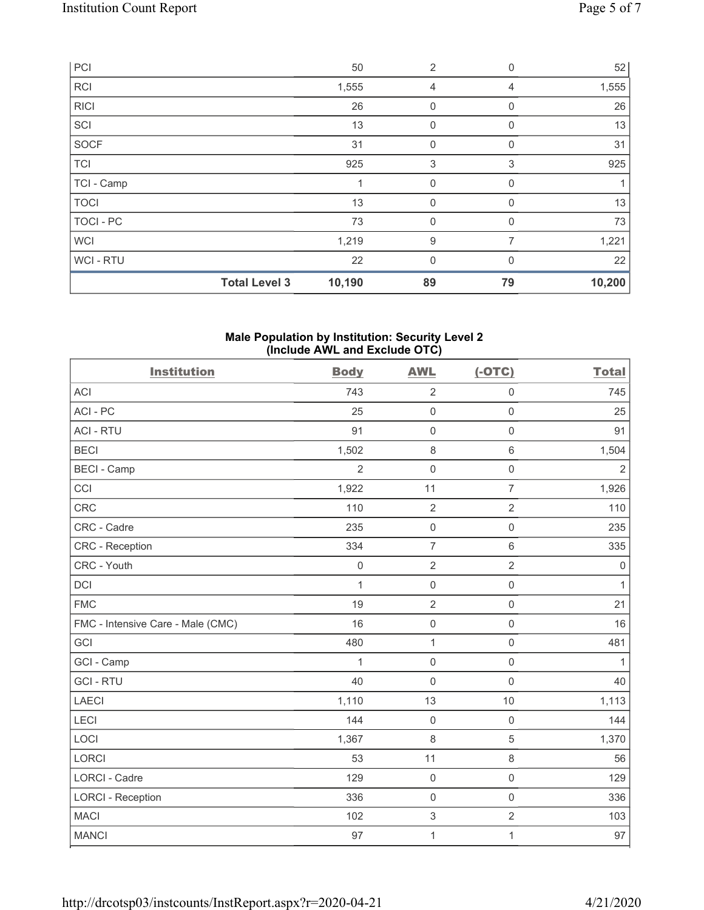|                  | <b>Total Level 3</b> | 10,190 | 89             | 79          | 10,200 |
|------------------|----------------------|--------|----------------|-------------|--------|
| <b>WCI-RTU</b>   |                      | 22     | $\mathbf{0}$   | $\Omega$    | 22     |
| <b>WCI</b>       |                      | 1,219  | 9              | 7           | 1,221  |
| <b>TOCI - PC</b> |                      | 73     | $\mathbf 0$    | 0           | 73     |
| <b>TOCI</b>      |                      | 13     | $\mathbf 0$    | 0           | 13     |
| TCI - Camp       |                      |        | 0              | 0           |        |
| <b>TCI</b>       |                      | 925    | 3              | 3           | 925    |
| SOCF             |                      | 31     | 0              | $\Omega$    | 31     |
| SCI              |                      | 13     | 0              | 0           | 13     |
| RICI             |                      | 26     | 0              | 0           | 26     |
| <b>RCI</b>       |                      | 1,555  | 4              | 4           | 1,555  |
| PC               |                      | 50     | $\overline{2}$ | $\mathbf 0$ | 52     |

#### **Male Population by Institution: Security Level 2 (Include AWL and Exclude OTC)**

| <b>Institution</b>                | <b>Body</b>    | <b>AWL</b>                | $(-OTC)$            | <b>Total</b>   |
|-----------------------------------|----------------|---------------------------|---------------------|----------------|
| <b>ACI</b>                        | 743            | $\overline{2}$            | $\mathsf{O}\xspace$ | 745            |
| ACI-PC                            | 25             | $\mathbf 0$               | $\mathsf 0$         | 25             |
| <b>ACI - RTU</b>                  | 91             | $\mathbf 0$               | $\mathsf 0$         | 91             |
| <b>BECI</b>                       | 1,502          | $\,8\,$                   | $\,6$               | 1,504          |
| <b>BECI - Camp</b>                | $\overline{2}$ | $\mathbf 0$               | $\mathsf 0$         | $\overline{2}$ |
| CCI                               | 1,922          | 11                        | $\overline{7}$      | 1,926          |
| CRC                               | 110            | $\overline{2}$            | $\overline{2}$      | 110            |
| CRC - Cadre                       | 235            | $\mathbf 0$               | $\mathsf 0$         | 235            |
| <b>CRC</b> - Reception            | 334            | $\overline{7}$            | 6                   | 335            |
| CRC - Youth                       | $\mathbf 0$    | $\sqrt{2}$                | $\overline{2}$      | $\mathbf 0$    |
| <b>DCI</b>                        | $\mathbf{1}$   | $\mathbf 0$               | $\mathsf 0$         | $\mathbf{1}$   |
| <b>FMC</b>                        | 19             | $\overline{2}$            | $\mathsf{O}\xspace$ | 21             |
| FMC - Intensive Care - Male (CMC) | 16             | $\mathbf 0$               | $\mathsf 0$         | 16             |
| GCI                               | 480            | $\mathbf{1}$              | $\mathsf{O}\xspace$ | 481            |
| GCI - Camp                        | 1              | $\mathbf 0$               | $\mathbf 0$         | $\mathbf{1}$   |
| <b>GCI-RTU</b>                    | 40             | $\mathbf 0$               | $\mathsf 0$         | 40             |
| <b>LAECI</b>                      | 1,110          | 13                        | 10                  | 1,113          |
| LECI                              | 144            | $\mathbf 0$               | $\mathsf 0$         | 144            |
| LOCI                              | 1,367          | $\,8\,$                   | $\sqrt{5}$          | 1,370          |
| LORCI                             | 53             | 11                        | 8                   | 56             |
| <b>LORCI - Cadre</b>              | 129            | $\mathbf 0$               | $\mathbf 0$         | 129            |
| <b>LORCI - Reception</b>          | 336            | $\mathbf 0$               | $\mathbf 0$         | 336            |
| <b>MACI</b>                       | 102            | $\ensuremath{\mathsf{3}}$ | $\overline{2}$      | 103            |
| <b>MANCI</b>                      | 97             | $\mathbf 1$               | $\mathbf{1}$        | 97             |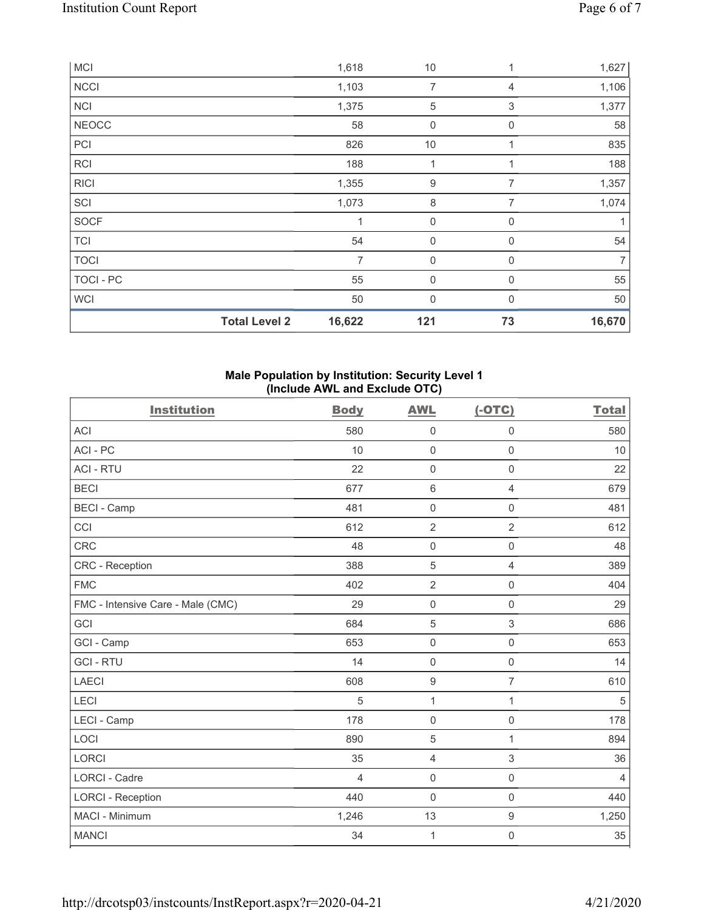|                  | <b>Total Level 2</b> | 16,622         | 121              | 73          | 16,670         |
|------------------|----------------------|----------------|------------------|-------------|----------------|
| WCI              |                      | 50             | $\mathbf 0$      | 0           | 50             |
| <b>TOCI - PC</b> |                      | 55             | 0                | $\mathbf 0$ | 55             |
| <b>TOCI</b>      |                      | $\overline{7}$ | $\mathbf 0$      | $\mathbf 0$ | $\overline{7}$ |
| <b>TCI</b>       |                      | 54             | 0                | 0           | 54             |
| SOCF             |                      | 1              | $\boldsymbol{0}$ | 0           | 1              |
| SCI              |                      | 1,073          | 8                | 7           | 1,074          |
| <b>RICI</b>      |                      | 1,355          | $\boldsymbol{9}$ | 7           | 1,357          |
| <b>RCI</b>       |                      | 188            | 1                |             | 188            |
| PCI              |                      | 826            | 10               | 1           | 835            |
| <b>NEOCC</b>     |                      | 58             | $\mathbf 0$      | 0           | 58             |
| <b>NCI</b>       |                      | 1,375          | $\mathbf 5$      | 3           | 1,377          |
| <b>NCCI</b>      |                      | 1,103          | $\overline{7}$   | 4           | 1,106          |
| <b>MCI</b>       |                      | 1,618          | 10               | 1           | 1,627          |

## **Male Population by Institution: Security Level 1 (Include AWL and Exclude OTC)**

| <b>Institution</b>                | <b>Body</b>    | <b>AWL</b>          | $(-OTC)$            | <b>Total</b>   |
|-----------------------------------|----------------|---------------------|---------------------|----------------|
| <b>ACI</b>                        | 580            | $\mathsf{O}\xspace$ | 0                   | 580            |
| ACI-PC                            | 10             | $\mathbf 0$         | $\mathsf{O}\xspace$ | 10             |
| <b>ACI - RTU</b>                  | 22             | $\mathbf 0$         | $\mathsf{O}\xspace$ | 22             |
| <b>BECI</b>                       | 677            | $\,6\,$             | 4                   | 679            |
| <b>BECI - Camp</b>                | 481            | $\mathsf{O}\xspace$ | $\mathsf{O}\xspace$ | 481            |
| CCI                               | 612            | $\overline{2}$      | $\overline{2}$      | 612            |
| <b>CRC</b>                        | 48             | $\mathbf 0$         | $\mathbf 0$         | 48             |
| CRC - Reception                   | 388            | $\sqrt{5}$          | $\overline{4}$      | 389            |
| <b>FMC</b>                        | 402            | $\overline{2}$      | $\mathsf{O}\xspace$ | 404            |
| FMC - Intensive Care - Male (CMC) | 29             | $\mathsf{O}\xspace$ | $\mathbf 0$         | 29             |
| GCI                               | 684            | 5                   | 3                   | 686            |
| GCI - Camp                        | 653            | $\mathsf{O}\xspace$ | $\mathsf{O}\xspace$ | 653            |
| <b>GCI-RTU</b>                    | 14             | $\mathbf 0$         | $\mathsf{O}\xspace$ | 14             |
| <b>LAECI</b>                      | 608            | $\boldsymbol{9}$    | $\overline{7}$      | 610            |
| <b>LECI</b>                       | 5              | 1                   | 1                   | 5              |
| LECI - Camp                       | 178            | $\mathbf 0$         | $\mathsf{O}\xspace$ | 178            |
| LOCI                              | 890            | 5                   | 1                   | 894            |
| <b>LORCI</b>                      | 35             | $\overline{4}$      | 3                   | 36             |
| <b>LORCI - Cadre</b>              | $\overline{4}$ | $\mathbf 0$         | $\mathbf 0$         | $\overline{4}$ |
| <b>LORCI - Reception</b>          | 440            | $\mathbf 0$         | $\mathbf 0$         | 440            |
| MACI - Minimum                    | 1,246          | 13                  | $\boldsymbol{9}$    | 1,250          |
| <b>MANCI</b>                      | 34             | $\mathbf{1}$        | $\mathbf 0$         | 35             |